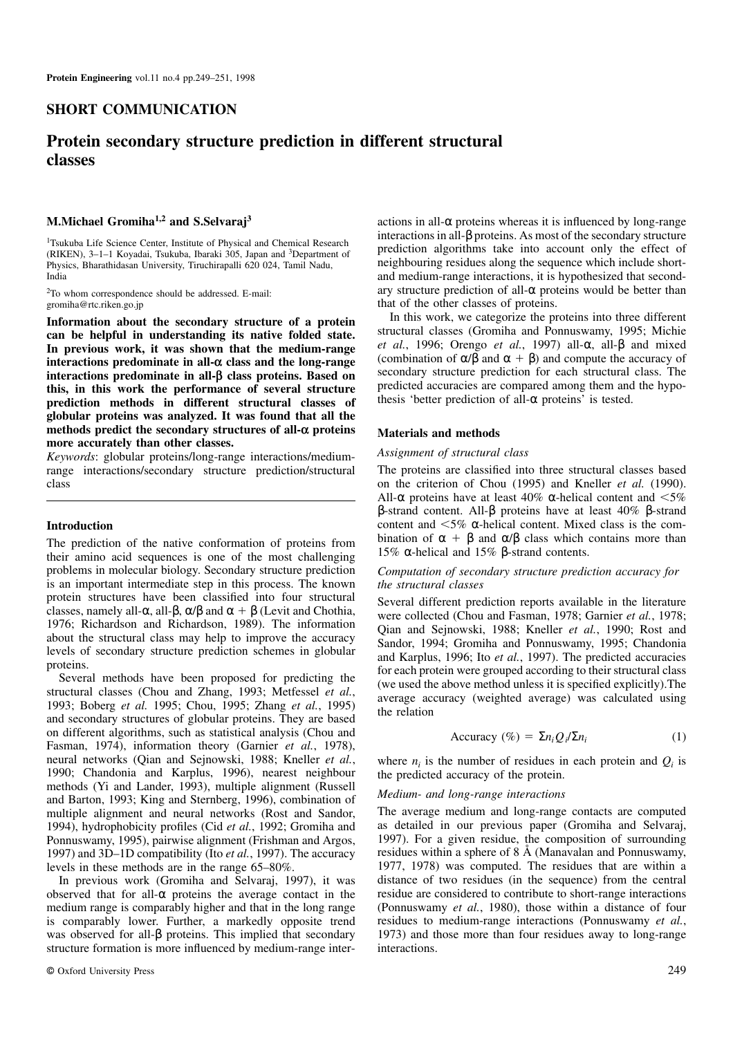# **SHORT COMMUNICATION**

# **Protein secondary structure prediction in different structural classes**

## **M.Michael Gromiha1,2 and S.Selvaraj<sup>3</sup>**

<sup>1</sup>Tsukuba Life Science Center, Institute of Physical and Chemical Research (RIKEN), 3–1–1 Koyadai, Tsukuba, Ibaraki 305, Japan and <sup>3</sup>Department of Physics, Bharathidasan University, Tiruchirapalli 620 024, Tamil Nadu, India

<sup>2</sup>To whom correspondence should be addressed. E-mail: gromiha@rtc.riken.go.jp

**Information about the secondary structure of a protein can be helpful in understanding its native folded state. In previous work, it was shown that the medium-range interactions predominate in all-α class and the long-range interactions predominate in all-β class proteins. Based on this, in this work the performance of several structure prediction methods in different structural classes of globular proteins was analyzed. It was found that all the methods predict the secondary structures of all-α proteins more accurately than other classes.**

*Keywords*: globular proteins/long-range interactions/mediumrange interactions/secondary structure prediction/structural class

### **Introduction**

The prediction of the native conformation of proteins from their amino acid sequences is one of the most challenging problems in molecular biology. Secondary structure prediction is an important intermediate step in this process. The known protein structures have been classified into four structural classes, namely all- $\alpha$ , all- $\beta$ ,  $\alpha/\beta$  and  $\alpha + \beta$  (Levit and Chothia, 1976; Richardson and Richardson, 1989). The information about the structural class may help to improve the accuracy levels of secondary structure prediction schemes in globular proteins.

Several methods have been proposed for predicting the structural classes (Chou and Zhang, 1993; Metfessel *et al.*, 1993; Boberg *et al.* 1995; Chou, 1995; Zhang *et al.*, 1995) and secondary structures of globular proteins. They are based on different algorithms, such as statistical analysis (Chou and Fasman, 1974), information theory (Garnier *et al.*, 1978), neural networks (Qian and Sejnowski, 1988; Kneller *et al.*, 1990; Chandonia and Karplus, 1996), nearest neighbour methods (Yi and Lander, 1993), multiple alignment (Russell and Barton, 1993; King and Sternberg, 1996), combination of multiple alignment and neural networks (Rost and Sandor, 1994), hydrophobicity profiles (Cid *et al.*, 1992; Gromiha and Ponnuswamy, 1995), pairwise alignment (Frishman and Argos, 1997) and 3D–1D compatibility (Ito *et al.*, 1997). The accuracy levels in these methods are in the range 65–80%.

In previous work (Gromiha and Selvaraj, 1997), it was observed that for all- $\alpha$  proteins the average contact in the medium range is comparably higher and that in the long range is comparably lower. Further, a markedly opposite trend was observed for all-β proteins. This implied that secondary structure formation is more influenced by medium-range interactions in all- $\alpha$  proteins whereas it is influenced by long-range interactions in all-β proteins. As most of the secondary structure prediction algorithms take into account only the effect of neighbouring residues along the sequence which include shortand medium-range interactions, it is hypothesized that secondary structure prediction of all- $\alpha$  proteins would be better than that of the other classes of proteins.

In this work, we categorize the proteins into three different structural classes (Gromiha and Ponnuswamy, 1995; Michie *et al.*, 1996; Orengo *et al.*, 1997) all-α, all-β and mixed (combination of  $\alpha/\beta$  and  $\alpha + \beta$ ) and compute the accuracy of secondary structure prediction for each structural class. The predicted accuracies are compared among them and the hypothesis 'better prediction of all-α proteins' is tested.

#### **Materials and methods**

### *Assignment of structural class*

The proteins are classified into three structural classes based on the criterion of Chou (1995) and Kneller *et al.* (1990). All- $\alpha$  proteins have at least 40%  $\alpha$ -helical content and <5% β-strand content. All-β proteins have at least 40% β-strand content and  $\leq 5\%$  α-helical content. Mixed class is the combination of  $\alpha + \beta$  and  $\alpha/\beta$  class which contains more than 15% α-helical and 15% β-strand contents.

# *Computation of secondary structure prediction accuracy for the structural classes*

Several different prediction reports available in the literature were collected (Chou and Fasman, 1978; Garnier *et al.*, 1978; Qian and Sejnowski, 1988; Kneller *et al.*, 1990; Rost and Sandor, 1994; Gromiha and Ponnuswamy, 1995; Chandonia and Karplus, 1996; Ito *et al.*, 1997). The predicted accuracies for each protein were grouped according to their structural class (we used the above method unless it is specified explicitly).The average accuracy (weighted average) was calculated using the relation

$$
\text{Accuracy } (\%) = \sum n_i Q_i / \sum n_i \tag{1}
$$

where  $n_i$  is the number of residues in each protein and  $Q_i$  is the predicted accuracy of the protein.

#### *Medium- and long-range interactions*

The average medium and long-range contacts are computed as detailed in our previous paper (Gromiha and Selvaraj, 1997). For a given residue, the composition of surrounding residues within a sphere of 8 Å (Manavalan and Ponnuswamy, 1977, 1978) was computed. The residues that are within a distance of two residues (in the sequence) from the central residue are considered to contribute to short-range interactions (Ponnuswamy *et al.*, 1980), those within a distance of four residues to medium-range interactions (Ponnuswamy *et al.*, 1973) and those more than four residues away to long-range interactions.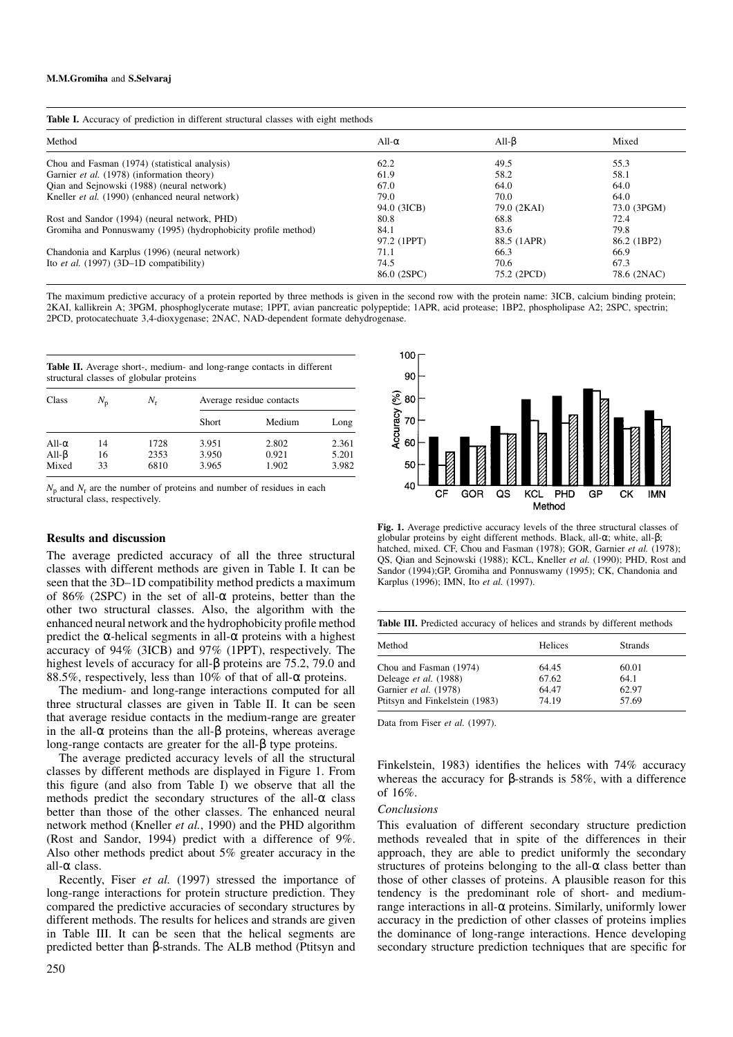| Table I. Accuracy of prediction in different structural classes with eight methods |  |  |  |  |  |
|------------------------------------------------------------------------------------|--|--|--|--|--|
|                                                                                    |  |  |  |  |  |

| Method                                                        | All- $\alpha$ | All- $\beta$ | Mixed       |
|---------------------------------------------------------------|---------------|--------------|-------------|
| Chou and Fasman (1974) (statistical analysis)                 | 62.2          | 49.5         | 55.3        |
| Garnier et al. (1978) (information theory)                    | 61.9          | 58.2         | 58.1        |
| Qian and Sejnowski (1988) (neural network)                    | 67.0          | 64.0         | 64.0        |
| Kneller <i>et al.</i> (1990) (enhanced neural network)        | 79.0          | 70.0         | 64.0        |
|                                                               | 94.0 (3ICB)   | 79.0 (2KAI)  | 73.0 (3PGM) |
| Rost and Sandor (1994) (neural network, PHD)                  | 80.8          | 68.8         | 72.4        |
| Gromiha and Ponnuswamy (1995) (hydrophobicity profile method) | 84.1          | 83.6         | 79.8        |
|                                                               | 97.2 (1PPT)   | 88.5 (1APR)  | 86.2 (1BP2) |
| Chandonia and Karplus (1996) (neural network)                 | 71.1          | 66.3         | 66.9        |
| Ito <i>et al.</i> $(1997)$ $(3D-1D$ compatibility)            | 74.5          | 70.6         | 67.3        |
|                                                               | 86.0 (2SPC)   | 75.2 (2PCD)  | 78.6 (2NAC) |

The maximum predictive accuracy of a protein reported by three methods is given in the second row with the protein name: 3ICB, calcium binding protein; 2KAI, kallikrein A; 3PGM, phosphoglycerate mutase; 1PPT, avian pancreatic polypeptide; 1APR, acid protease; 1BP2, phospholipase A2; 2SPC, spectrin; 2PCD, protocatechuate 3,4-dioxygenase; 2NAC, NAD-dependent formate dehydrogenase.

**Table II.** Average short-, medium- and long-range contacts in different structural classes of globular proteins

| Class                                  | $N_{\rm p}$    | $N_{\rm r}$          | Average residue contacts |                         |                         |  |  |
|----------------------------------------|----------------|----------------------|--------------------------|-------------------------|-------------------------|--|--|
|                                        |                |                      | Short                    | Medium                  | Long                    |  |  |
| All- $\alpha$<br>All- $\beta$<br>Mixed | 14<br>16<br>33 | 1728<br>2353<br>6810 | 3.951<br>3.950<br>3.965  | 2.802<br>0.921<br>1.902 | 2.361<br>5.201<br>3.982 |  |  |

 $N_p$  and  $N_r$  are the number of proteins and number of residues in each structural class, respectively.

### **Results and discussion**

The average predicted accuracy of all the three structural classes with different methods are given in Table I. It can be seen that the 3D–1D compatibility method predicts a maximum of 86% (2SPC) in the set of all- $\alpha$  proteins, better than the other two structural classes. Also, the algorithm with the enhanced neural network and the hydrophobicity profile method predict the α-helical segments in all-α proteins with a highest accuracy of 94% (3ICB) and 97% (1PPT), respectively. The highest levels of accuracy for all-β proteins are 75.2, 79.0 and 88.5%, respectively, less than 10% of that of all- $\alpha$  proteins.

The medium- and long-range interactions computed for all three structural classes are given in Table II. It can be seen that average residue contacts in the medium-range are greater in the all- $\alpha$  proteins than the all- $\beta$  proteins, whereas average long-range contacts are greater for the all-β type proteins.

The average predicted accuracy levels of all the structural classes by different methods are displayed in Figure 1. From this figure (and also from Table I) we observe that all the methods predict the secondary structures of the all- $\alpha$  class better than those of the other classes. The enhanced neural network method (Kneller *et al.*, 1990) and the PHD algorithm (Rost and Sandor, 1994) predict with a difference of 9%. Also other methods predict about 5% greater accuracy in the all-α class.

Recently, Fiser *et al.* (1997) stressed the importance of long-range interactions for protein structure prediction. They compared the predictive accuracies of secondary structures by different methods. The results for helices and strands are given in Table III. It can be seen that the helical segments are predicted better than β-strands. The ALB method (Ptitsyn and



**Fig. 1.** Average predictive accuracy levels of the three structural classes of globular proteins by eight different methods. Black, all-α; white, all-β; hatched, mixed. CF, Chou and Fasman (1978); GOR, Garnier *et al.* (1978); QS, Qian and Sejnowski (1988); KCL, Kneller *et al.* (1990); PHD, Rost and Sandor (1994);GP, Gromiha and Ponnuswamy (1995); CK, Chandonia and Karplus (1996); IMN, Ito *et al.* (1997).

|  |  |  |  | Table III. Predicted accuracy of helices and strands by different methods |  |
|--|--|--|--|---------------------------------------------------------------------------|--|
|  |  |  |  |                                                                           |  |

| Method                         | Helices | <b>Strands</b> |
|--------------------------------|---------|----------------|
| Chou and Fasman (1974)         | 64.45   | 60.01          |
| Deleage et al. (1988)          | 67.62   | 64.1           |
| Garnier et al. (1978)          | 64.47   | 62.97          |
| Ptitsyn and Finkelstein (1983) | 74.19   | 57.69          |

Data from Fiser *et al.* (1997).

Finkelstein, 1983) identifies the helices with 74% accuracy whereas the accuracy for β-strands is 58%, with a difference of  $16\%$ 

#### *Conclusions*

This evaluation of different secondary structure prediction methods revealed that in spite of the differences in their approach, they are able to predict uniformly the secondary structures of proteins belonging to the all- $\alpha$  class better than those of other classes of proteins. A plausible reason for this tendency is the predominant role of short- and mediumrange interactions in all-α proteins. Similarly, uniformly lower accuracy in the prediction of other classes of proteins implies the dominance of long-range interactions. Hence developing secondary structure prediction techniques that are specific for